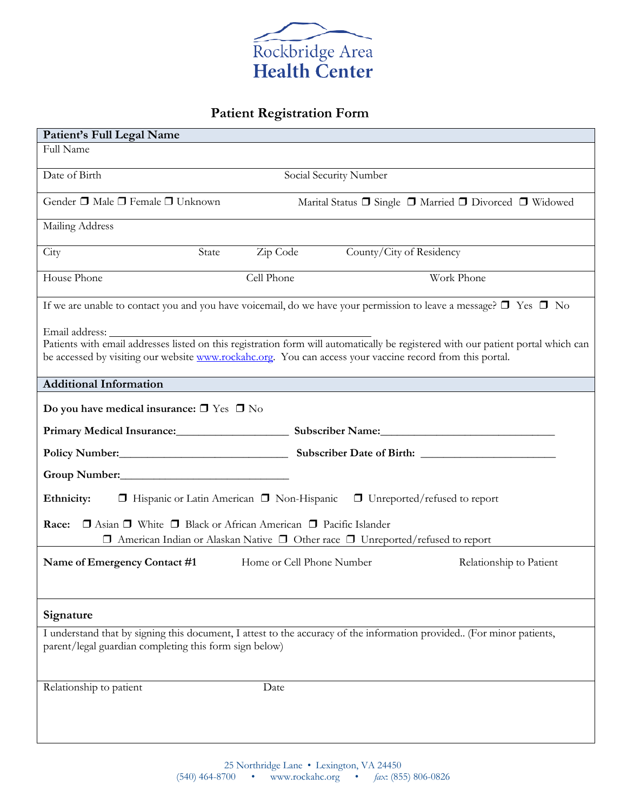

# **Patient Registration Form**

| Patient's Full Legal Name                                                                                                                                                                                                                                        |  |  |  |
|------------------------------------------------------------------------------------------------------------------------------------------------------------------------------------------------------------------------------------------------------------------|--|--|--|
| Full Name                                                                                                                                                                                                                                                        |  |  |  |
| Date of Birth<br>Social Security Number                                                                                                                                                                                                                          |  |  |  |
| Gender □ Male □ Female □ Unknown<br>Marital Status □ Single □ Married □ Divorced □ Widowed                                                                                                                                                                       |  |  |  |
| Mailing Address                                                                                                                                                                                                                                                  |  |  |  |
| Zip Code<br>County/City of Residency<br>City<br>State                                                                                                                                                                                                            |  |  |  |
| Cell Phone<br>House Phone<br>Work Phone                                                                                                                                                                                                                          |  |  |  |
| If we are unable to contact you and you have voicemail, do we have your permission to leave a message? $\Box$ Yes $\Box$ No                                                                                                                                      |  |  |  |
| Email address:<br>Patients with email addresses listed on this registration form will automatically be registered with our patient portal which can<br>be accessed by visiting our website www.rockahc.org. You can access your vaccine record from this portal. |  |  |  |
| <b>Additional Information</b>                                                                                                                                                                                                                                    |  |  |  |
| Do you have medical insurance: $\square$ Yes $\square$ No                                                                                                                                                                                                        |  |  |  |
| Primary Medical Insurance: Subscriber Name: Subscriber Name:                                                                                                                                                                                                     |  |  |  |
|                                                                                                                                                                                                                                                                  |  |  |  |
|                                                                                                                                                                                                                                                                  |  |  |  |
| Ethnicity:<br>$\Box$ Hispanic or Latin American $\Box$ Non-Hispanic $\Box$ Unreported/refused to report                                                                                                                                                          |  |  |  |
| □ Asian □ White □ Black or African American □ Pacific Islander<br>Race:                                                                                                                                                                                          |  |  |  |
| $\Box$ American Indian or Alaskan Native $\Box$ Other race $\Box$ Unreported/refused to report                                                                                                                                                                   |  |  |  |
| Home or Cell Phone Number<br>Relationship to Patient<br>Name of Emergency Contact #1                                                                                                                                                                             |  |  |  |
| Signature                                                                                                                                                                                                                                                        |  |  |  |
| I understand that by signing this document, I attest to the accuracy of the information provided (For minor patients,<br>parent/legal guardian completing this form sign below)                                                                                  |  |  |  |
| Relationship to patient<br>Date                                                                                                                                                                                                                                  |  |  |  |
|                                                                                                                                                                                                                                                                  |  |  |  |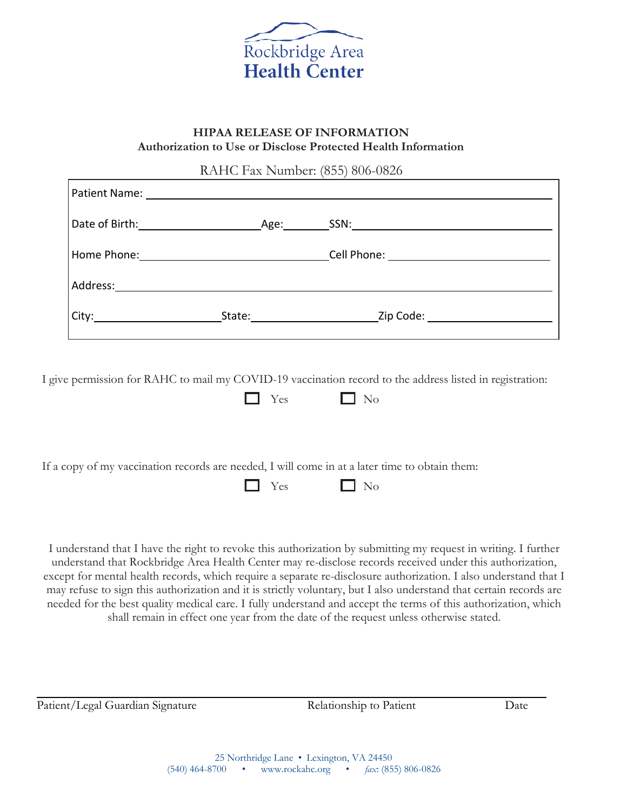

## **HIPAA RELEASE OF INFORMATION Authorization to Use or Disclose Protected Health Information**

RAHC Fax Number: (855) 806-0826

|          | _____Age:_____ |                                                                                                                                                                                  |
|----------|----------------|----------------------------------------------------------------------------------------------------------------------------------------------------------------------------------|
|          |                |                                                                                                                                                                                  |
| Address: |                |                                                                                                                                                                                  |
|          |                | <b>Zip Code: Communist Code: Code: Code: Code: Code: Code: Code: Code: Code: Code: Code: Code: Code: Code: Code: Code: Code: Code: Code: Code: Code: Code: Code: Code: Code:</b> |

I give permission for RAHC to mail my COVID-19 vaccination record to the address listed in registration:

 $\Box$  No

If a copy of my vaccination records are needed, I will come in at a later time to obtain them:

 $\Box$  Yes  $\Box$  No

I understand that I have the right to revoke this authorization by submitting my request in writing. I further understand that Rockbridge Area Health Center may re-disclose records received under this authorization, except for mental health records, which require a separate re-disclosure authorization. I also understand that I may refuse to sign this authorization and it is strictly voluntary, but I also understand that certain records are needed for the best quality medical care. I fully understand and accept the terms of this authorization, which shall remain in effect one year from the date of the request unless otherwise stated.

Patient/Legal Guardian Signature Relationship to Patient Date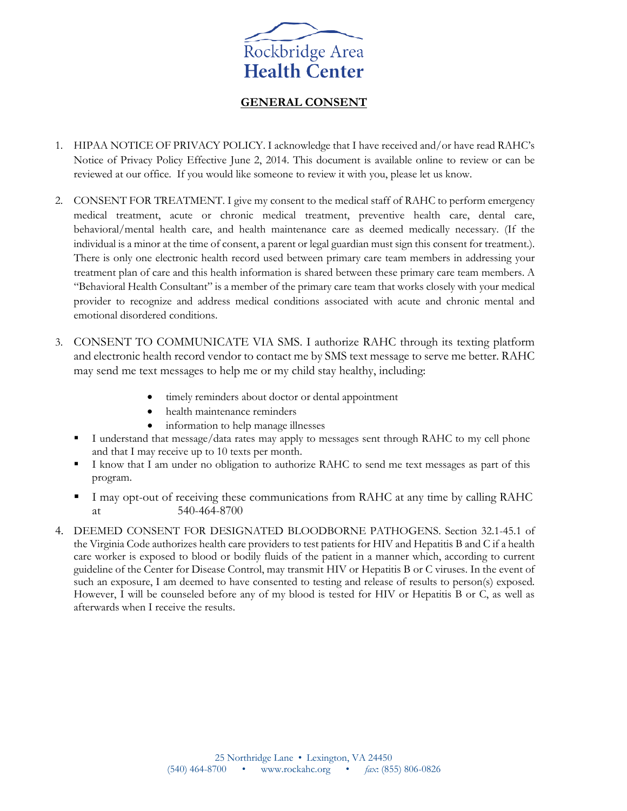

## **GENERAL CONSENT**

- 1. HIPAA NOTICE OF PRIVACY POLICY. I acknowledge that I have received and/or have read RAHC's Notice of Privacy Policy Effective June 2, 2014. This document is available online to review or can be reviewed at our office. If you would like someone to review it with you, please let us know.
- 2. CONSENT FOR TREATMENT. I give my consent to the medical staff of RAHC to perform emergency medical treatment, acute or chronic medical treatment, preventive health care, dental care, behavioral/mental health care, and health maintenance care as deemed medically necessary. (If the individual is a minor at the time of consent, a parent or legal guardian must sign this consent for treatment.). There is only one electronic health record used between primary care team members in addressing your treatment plan of care and this health information is shared between these primary care team members. A "Behavioral Health Consultant" is a member of the primary care team that works closely with your medical provider to recognize and address medical conditions associated with acute and chronic mental and emotional disordered conditions.
- 3. CONSENT TO COMMUNICATE VIA SMS. I authorize RAHC through its texting platform and electronic health record vendor to contact me by SMS text message to serve me better. RAHC may send me text messages to help me or my child stay healthy, including:
	- timely reminders about doctor or dental appointment
	- health maintenance reminders
	- information to help manage illnesses
	- I understand that message/data rates may apply to messages sent through RAHC to my cell phone and that I may receive up to 10 texts per month.
	- I know that I am under no obligation to authorize RAHC to send me text messages as part of this program.
	- I may opt-out of receiving these communications from RAHC at any time by calling RAHC at 540-464-8700
- 4. DEEMED CONSENT FOR DESIGNATED BLOODBORNE PATHOGENS. Section 32.1-45.1 of the Virginia Code authorizes health care providers to test patients for HIV and Hepatitis B and C if a health care worker is exposed to blood or bodily fluids of the patient in a manner which, according to current guideline of the Center for Disease Control, may transmit HIV or Hepatitis B or C viruses. In the event of such an exposure, I am deemed to have consented to testing and release of results to person(s) exposed. However, I will be counseled before any of my blood is tested for HIV or Hepatitis B or C, as well as afterwards when I receive the results.